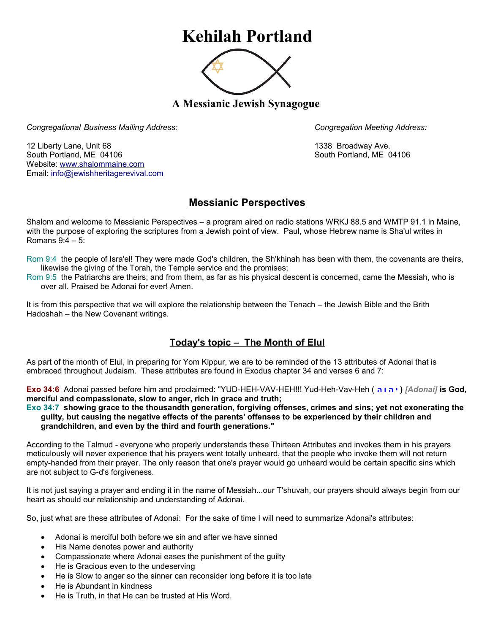# **Kehilah Portland**



**A Messianic Jewish Synagogue** 

*Congregational Business Mailing Address: Congregation Meeting Address:*

12 Liberty Lane, Unit 68 1338 Broadway Ave. South Portland, ME 04106 South Portland, ME 04106 Website: [www.shalommaine.com](http://www.shalommaine.com/) Email: [info@jewishheritagerevival.com](mailto:info@jewishheritagerevival.com) 

# **Messianic Perspectives**

Shalom and welcome to Messianic Perspectives – a program aired on radio stations WRKJ 88.5 and WMTP 91.1 in Maine, with the purpose of exploring the scriptures from a Jewish point of view. Paul, whose Hebrew name is Sha'ul writes in Romans 9:4 – 5:

- Rom 9:4 the people of Isra'el! They were made God's children, the Sh'khinah has been with them, the covenants are theirs, likewise the giving of the Torah, the Temple service and the promises;
- Rom 9:5 the Patriarchs are theirs; and from them, as far as his physical descent is concerned, came the Messiah, who is over all. Praised be Adonai for ever! Amen.

It is from this perspective that we will explore the relationship between the Tenach – the Jewish Bible and the Brith Hadoshah – the New Covenant writings.

## **Today's topic – The Month of Elul**

As part of the month of Elul, in preparing for Yom Kippur, we are to be reminded of the 13 attributes of Adonai that is embraced throughout Judaism. These attributes are found in Exodus chapter 34 and verses 6 and 7:

**Exo 34:6** Adonai passed before him and proclaimed: "YUD-HEH-VAV-HEH!!! Yud-Heh-Vav-Heh ( **ה ו ה י***]* **(** *Adonai]* **is God, merciful and compassionate, slow to anger, rich in grace and truth;** 

**Exo 34:7 showing grace to the thousandth generation, forgiving offenses, crimes and sins; yet not exonerating the guilty, but causing the negative effects of the parents' offenses to be experienced by their children and grandchildren, and even by the third and fourth generations."** 

According to the Talmud - everyone who properly understands these Thirteen Attributes and invokes them in his prayers meticulously will never experience that his prayers went totally unheard, that the people who invoke them will not return empty-handed from their prayer. The only reason that one's prayer would go unheard would be certain specific sins which are not subject to G-d's forgiveness.

It is not just saying a prayer and ending it in the name of Messiah...our T'shuvah, our prayers should always begin from our heart as should our relationship and understanding of Adonai.

So, just what are these attributes of Adonai: For the sake of time I will need to summarize Adonai's attributes:

- Adonai is merciful both before we sin and after we have sinned
- His Name denotes power and authority
- Compassionate where Adonai eases the punishment of the guilty
- He is Gracious even to the undeserving
- He is Slow to anger so the sinner can reconsider long before it is too late
- He is Abundant in kindness
- He is Truth, in that He can be trusted at His Word.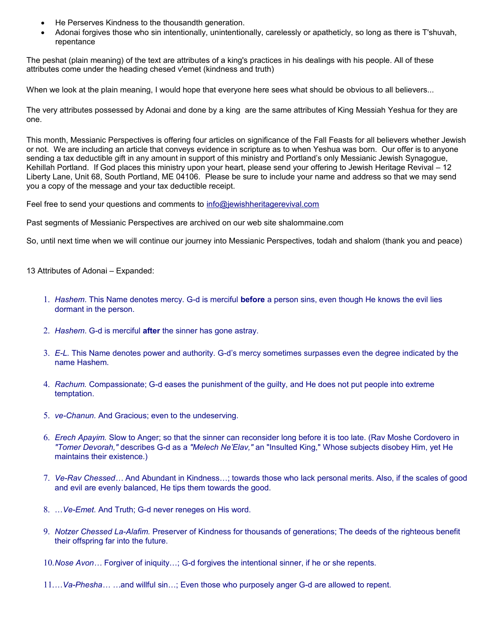- He Perserves Kindness to the thousandth generation.
- Adonai forgives those who sin intentionally, unintentionally, carelessly or apatheticly, so long as there is T'shuvah, repentance

The peshat (plain meaning) of the text are attributes of a king's practices in his dealings with his people. All of these attributes come under the heading chesed v'emet (kindness and truth)

When we look at the plain meaning, I would hope that everyone here sees what should be obvious to all believers...

The very attributes possessed by Adonai and done by a king are the same attributes of King Messiah Yeshua for they are one.

This month, Messianic Perspectives is offering four articles on significance of the Fall Feasts for all believers whether Jewish or not. We are including an article that conveys evidence in scripture as to when Yeshua was born. Our offer is to anyone sending a tax deductible gift in any amount in support of this ministry and Portland's only Messianic Jewish Synagogue, Kehillah Portland. If God places this ministry upon your heart, please send your offering to Jewish Heritage Revival – 12 Liberty Lane, Unit 68, South Portland, ME 04106. Please be sure to include your name and address so that we may send you a copy of the message and your tax deductible receipt.

Feel free to send your questions and comments to [info@jewishheritagerevival.com](mailto:info@jewishheritagerevival.com) 

Past segments of Messianic Perspectives are archived on our web site shalommaine.com

So, until next time when we will continue our journey into Messianic Perspectives, todah and shalom (thank you and peace)

13 Attributes of Adonai – Expanded:

- 1. *Hashem*. This Name denotes mercy. G-d is merciful **before** a person sins, even though He knows the evil lies dormant in the person.
- 2. *Hashem*. G-d is merciful **after** the sinner has gone astray.
- 3. *E-L.* This Name denotes power and authority. G-d's mercy sometimes surpasses even the degree indicated by the name Hashem.
- 4. *Rachum.* Compassionate; G-d eases the punishment of the guilty, and He does not put people into extreme temptation.
- 5. *ve-Chanun.* And Gracious; even to the undeserving.
- 6. *Erech Apayim.* Slow to Anger; so that the sinner can reconsider long before it is too late. (Rav Moshe Cordovero in *"Tomer Devorah,"* describes G-d as a *"Melech Ne'Elav,"* an "Insulted King," Whose subjects disobey Him, yet He maintains their existence.)
- 7. *Ve-Rav Chessed…* And Abundant in Kindness…; towards those who lack personal merits. Also, if the scales of good and evil are evenly balanced, He tips them towards the good.
- 8. …*Ve-Emet.* And Truth; G-d never reneges on His word.
- 9. *Notzer Chessed La-Alafim.* Preserver of Kindness for thousands of generations; The deeds of the righteous benefit their offspring far into the future.
- 10.*Nose Avon…* Forgiver of iniquity…; G-d forgives the intentional sinner, if he or she repents.
- 11.…*Va-Phesha… …*and willful sin…; Even those who purposely anger G-d are allowed to repent.